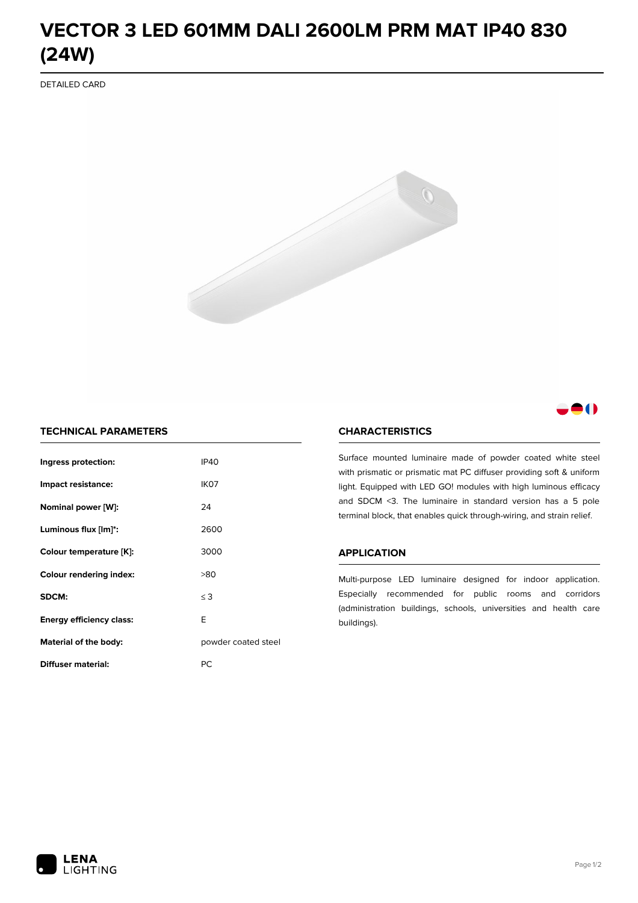# **VECTOR 3 LED 601MM DALI 2600LM PRM MAT IP40 830 (24W)**

DETAILED CARD



# 80

# **TECHNICAL PARAMETERS**

| Ingress protection:             | <b>IP40</b>         |  |
|---------------------------------|---------------------|--|
| Impact resistance:              | IK <sub>07</sub>    |  |
| Nominal power [W]:              | 24                  |  |
| Luminous flux [lm]*:            | 2600                |  |
| Colour temperature [K]:         | 3000                |  |
| <b>Colour rendering index:</b>  | >80                 |  |
| SDCM:                           | $\leq$ 3            |  |
| <b>Energy efficiency class:</b> | E                   |  |
| Material of the body:           | powder coated steel |  |
| Diffuser material:              | РC                  |  |

### **CHARACTERISTICS**

Surface mounted luminaire made of powder coated white steel with prismatic or prismatic mat PC diffuser providing soft & uniform light. Equipped with LED GO! modules with high luminous efficacy and SDCM <3. The luminaire in standard version has a 5 pole terminal block, that enables quick through-wiring, and strain relief.

#### **APPLICATION**

Multi-purpose LED luminaire designed for indoor application. Especially recommended for public rooms and corridors (administration buildings, schools, universities and health care buildings).